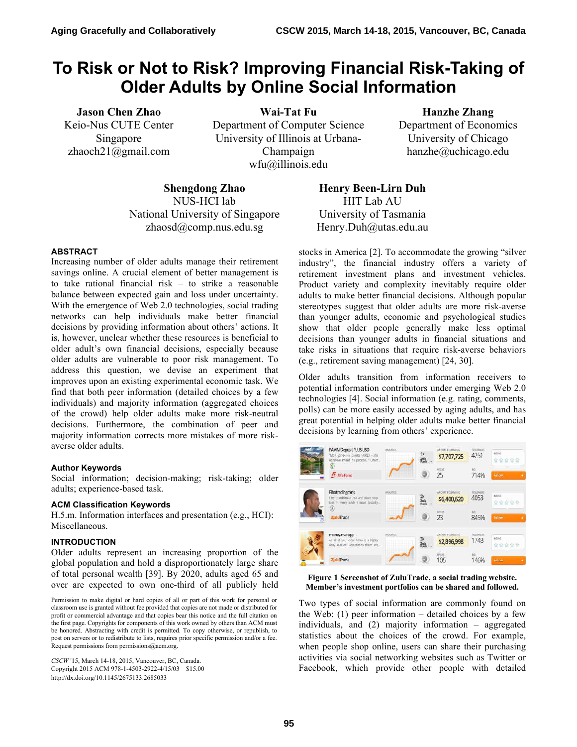# **To Risk or Not to Risk? Improving Financial Risk-Taking of Older Adults by Online Social Information**

**Jason Chen Zhao** Keio-Nus CUTE Center Singapore zhaoch21@gmail.com

**Wai-Tat Fu** Department of Computer Science University of Illinois at Urbana-Champaign wfu@illinois.edu

## **Hanzhe Zhang**

Department of Economics University of Chicago hanzhe@uchicago.edu

**Shengdong Zhao** NUS-HCI lab National University of Singapore zhaosd@comp.nus.edu.sg

## **ABSTRACT**

Increasing number of older adults manage their retirement savings online. A crucial element of better management is to take rational financial risk – to strike a reasonable balance between expected gain and loss under uncertainty. With the emergence of Web 2.0 technologies, social trading networks can help individuals make better financial decisions by providing information about others' actions. It is, however, unclear whether these resources is beneficial to older adult's own financial decisions, especially because older adults are vulnerable to poor risk management. To address this question, we devise an experiment that improves upon an existing experimental economic task. We find that both peer information (detailed choices by a few individuals) and majority information (aggregated choices of the crowd) help older adults make more risk-neutral decisions. Furthermore, the combination of peer and majority information corrects more mistakes of more riskaverse older adults.

## **Author Keywords**

Social information; decision-making; risk-taking; older adults; experience-based task.

## **ACM Classification Keywords**

H.5.m. Information interfaces and presentation (e.g., HCI): Miscellaneous.

## **INTRODUCTION**

Older adults represent an increasing proportion of the global population and hold a disproportionately large share of total personal wealth [39]. By 2020, adults aged 65 and over are expected to own one-third of all publicly held

Permission to make digital or hard copies of all or part of this work for personal or classroom use is granted without fee provided that copies are not made or distributed for profit or commercial advantage and that copies bear this notice and the full citation on the first page. Copyrights for components of this work owned by others than ACM must be honored. Abstracting with credit is permitted. To copy otherwise, or republish, to post on servers or to redistribute to lists, requires prior specific permission and/or a fee. Request permissions from permissions@acm.org.

*CSCW* '15, March 14-18, 2015, Vancouver, BC, Canada. Copyright 2015 ACM 978-1-4503-2922-4/15/03 \$15.00 http://dx.doi.org/10.1145/2675133.2685033

# **Henry Been-Lirn Duh** HIT Lab AU University of Tasmania Henry.Duh@utas.edu.au

stocks in America [2]. To accommodate the growing "silver industry", the financial industry offers a variety of retirement investment plans and investment vehicles. Product variety and complexity inevitably require older adults to make better financial decisions. Although popular stereotypes suggest that older adults are more risk-averse than younger adults, economic and psychological studies show that older people generally make less optimal decisions than younger adults in financial situations and take risks in situations that require risk-averse behaviors (e.g., retirement saving management) [24, 30].

Older adults transition from information receivers to potential information contributors under emerging Web 2.0 technologies [4]. Social information (e.g. rating, comments, polls) can be more easily accessed by aging adults, and has great potential in helping older adults make better financial decisions by learning from others' experience.



**Figure 1 Screenshot of ZuluTrade, a social trading website. Member's investment portfolios can be shared and followed.**

Two types of social information are commonly found on the Web: (1) peer information – detailed choices by a few individuals, and (2) majority information – aggregated statistics about the choices of the crowd. For example, when people shop online, users can share their purchasing activities via social networking websites such as Twitter or Facebook, which provide other people with detailed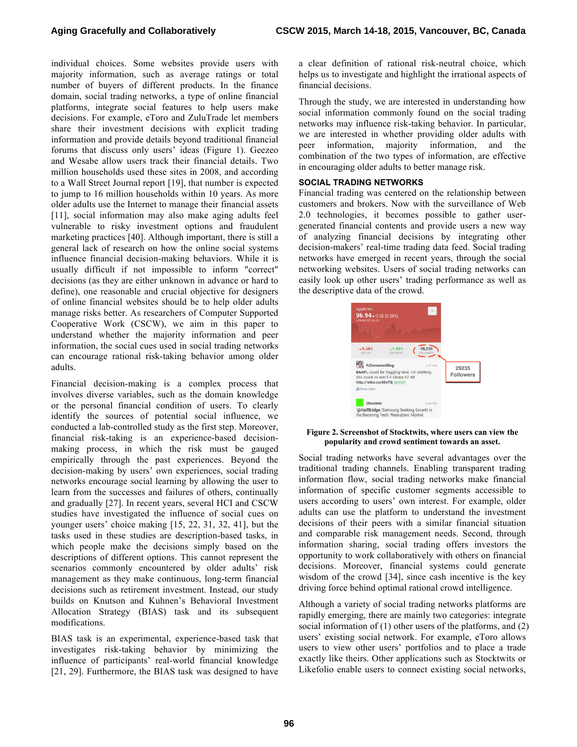individual choices. Some websites provide users with majority information, such as average ratings or total number of buyers of different products. In the finance domain, social trading networks, a type of online financial platforms, integrate social features to help users make decisions. For example, eToro and ZuluTrade let members share their investment decisions with explicit trading information and provide details beyond traditional financial forums that discuss only users' ideas (Figure 1). Geezeo and Wesabe allow users track their financial details. Two million households used these sites in 2008, and according to a Wall Street Journal report [19], that number is expected to jump to 16 million households within 10 years. As more older adults use the Internet to manage their financial assets [11], social information may also make aging adults feel vulnerable to risky investment options and fraudulent marketing practices [40]. Although important, there is still a general lack of research on how the online social systems influence financial decision-making behaviors. While it is usually difficult if not impossible to inform "correct" decisions (as they are either unknown in advance or hard to define), one reasonable and crucial objective for designers of online financial websites should be to help older adults manage risks better. As researchers of Computer Supported Cooperative Work (CSCW), we aim in this paper to understand whether the majority information and peer information, the social cues used in social trading networks can encourage rational risk-taking behavior among older adults.

Financial decision-making is a complex process that involves diverse variables, such as the domain knowledge or the personal financial condition of users. To clearly identify the sources of potential social influence, we conducted a lab-controlled study as the first step. Moreover, financial risk-taking is an experience-based decisionmaking process, in which the risk must be gauged empirically through the past experiences. Beyond the decision-making by users' own experiences, social trading networks encourage social learning by allowing the user to learn from the successes and failures of others, continually and gradually [27]. In recent years, several HCI and CSCW studies have investigated the influence of social cues on younger users' choice making [15, 22, 31, 32, 41], but the tasks used in these studies are description-based tasks, in which people make the decisions simply based on the descriptions of different options. This cannot represent the scenarios commonly encountered by older adults' risk management as they make continuous, long-term financial decisions such as retirement investment. Instead, our study builds on Knutson and Kuhnen's Behavioral Investment Allocation Strategy (BIAS) task and its subsequent modifications.

BIAS task is an experimental, experience-based task that investigates risk-taking behavior by minimizing the influence of participants' real-world financial knowledge [21, 29]. Furthermore, the BIAS task was designed to have a clear definition of rational risk-neutral choice, which helps us to investigate and highlight the irrational aspects of financial decisions.

Through the study, we are interested in understanding how social information commonly found on the social trading networks may influence risk-taking behavior. In particular, we are interested in whether providing older adults with peer information, majority information, and the combination of the two types of information, are effective in encouraging older adults to better manage risk.

## **SOCIAL TRADING NETWORKS**

Financial trading was centered on the relationship between customers and brokers. Now with the surveillance of Web 2.0 technologies, it becomes possible to gather usergenerated financial contents and provide users a new way of analyzing financial decisions by integrating other decision-makers' real-time trading data feed. Social trading networks have emerged in recent years, through the social networking websites. Users of social trading networks can easily look up other users' trading performance as well as the descriptive data of the crowd.



#### **Figure 2. Screenshot of Stocktwits, where users can view the popularity and crowd sentiment towards an asset.**

Social trading networks have several advantages over the traditional trading channels. Enabling transparent trading information flow, social trading networks make financial information of specific customer segments accessible to users according to users' own interest. For example, older adults can use the platform to understand the investment decisions of their peers with a similar financial situation and comparable risk management needs. Second, through information sharing, social trading offers investors the opportunity to work collaboratively with others on financial decisions. Moreover, financial systems could generate wisdom of the crowd [34], since cash incentive is the key driving force behind optimal rational crowd intelligence.

Although a variety of social trading networks platforms are rapidly emerging, there are mainly two categories: integrate social information of (1) other users of the platforms, and (2) users' existing social network. For example, eToro allows users to view other users' portfolios and to place a trade exactly like theirs. Other applications such as Stocktwits or Likefolio enable users to connect existing social networks,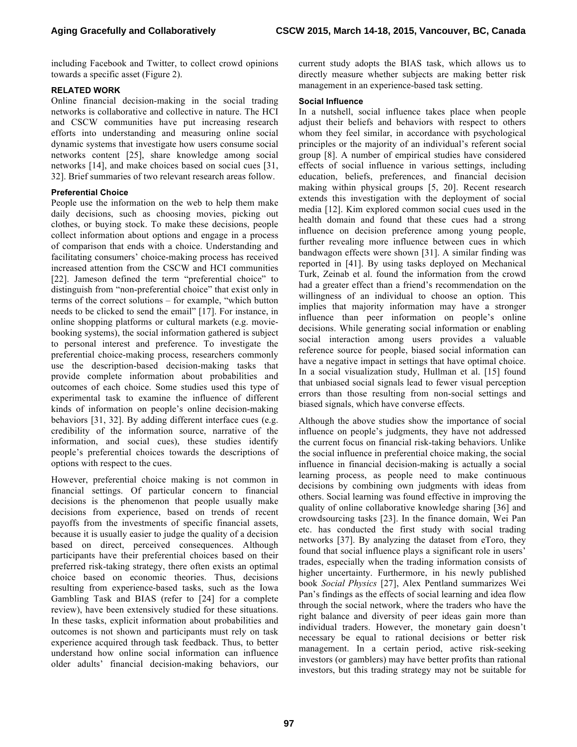including Facebook and Twitter, to collect crowd opinions towards a specific asset (Figure 2).

## **RELATED WORK**

Online financial decision-making in the social trading networks is collaborative and collective in nature. The HCI and CSCW communities have put increasing research efforts into understanding and measuring online social dynamic systems that investigate how users consume social networks content [25], share knowledge among social networks [14], and make choices based on social cues [31, 32]. Brief summaries of two relevant research areas follow.

## **Preferential Choice**

People use the information on the web to help them make daily decisions, such as choosing movies, picking out clothes, or buying stock. To make these decisions, people collect information about options and engage in a process of comparison that ends with a choice. Understanding and facilitating consumers' choice-making process has received increased attention from the CSCW and HCI communities [22]. Jameson defined the term "preferential choice" to distinguish from "non-preferential choice" that exist only in terms of the correct solutions – for example, "which button needs to be clicked to send the email" [17]. For instance, in online shopping platforms or cultural markets (e.g. moviebooking systems), the social information gathered is subject to personal interest and preference. To investigate the preferential choice-making process, researchers commonly use the description-based decision-making tasks that provide complete information about probabilities and outcomes of each choice. Some studies used this type of experimental task to examine the influence of different kinds of information on people's online decision-making behaviors [31, 32]. By adding different interface cues (e.g. credibility of the information source, narrative of the information, and social cues), these studies identify people's preferential choices towards the descriptions of options with respect to the cues.

However, preferential choice making is not common in financial settings. Of particular concern to financial decisions is the phenomenon that people usually make decisions from experience, based on trends of recent payoffs from the investments of specific financial assets, because it is usually easier to judge the quality of a decision based on direct, perceived consequences. Although participants have their preferential choices based on their preferred risk-taking strategy, there often exists an optimal choice based on economic theories. Thus, decisions resulting from experience-based tasks, such as the Iowa Gambling Task and BIAS (refer to [24] for a complete review), have been extensively studied for these situations. In these tasks, explicit information about probabilities and outcomes is not shown and participants must rely on task experience acquired through task feedback. Thus, to better understand how online social information can influence older adults' financial decision-making behaviors, our

current study adopts the BIAS task, which allows us to directly measure whether subjects are making better risk management in an experience-based task setting.

## **Social Influence**

In a nutshell, social influence takes place when people adjust their beliefs and behaviors with respect to others whom they feel similar, in accordance with psychological principles or the majority of an individual's referent social group [8]. A number of empirical studies have considered effects of social influence in various settings, including education, beliefs, preferences, and financial decision making within physical groups [5, 20]. Recent research extends this investigation with the deployment of social media [12]. Kim explored common social cues used in the health domain and found that these cues had a strong influence on decision preference among young people, further revealing more influence between cues in which bandwagon effects were shown [31]. A similar finding was reported in [41]. By using tasks deployed on Mechanical Turk, Zeinab et al. found the information from the crowd had a greater effect than a friend's recommendation on the willingness of an individual to choose an option. This implies that majority information may have a stronger influence than peer information on people's online decisions. While generating social information or enabling social interaction among users provides a valuable reference source for people, biased social information can have a negative impact in settings that have optimal choice. In a social visualization study, Hullman et al. [15] found that unbiased social signals lead to fewer visual perception errors than those resulting from non-social settings and biased signals, which have converse effects.

Although the above studies show the importance of social influence on people's judgments, they have not addressed the current focus on financial risk-taking behaviors. Unlike the social influence in preferential choice making, the social influence in financial decision-making is actually a social learning process, as people need to make continuous decisions by combining own judgments with ideas from others. Social learning was found effective in improving the quality of online collaborative knowledge sharing [36] and crowdsourcing tasks [23]. In the finance domain, Wei Pan etc. has conducted the first study with social trading networks [37]. By analyzing the dataset from eToro, they found that social influence plays a significant role in users' trades, especially when the trading information consists of higher uncertainty. Furthermore, in his newly published book *Social Physics* [27], Alex Pentland summarizes Wei Pan's findings as the effects of social learning and idea flow through the social network, where the traders who have the right balance and diversity of peer ideas gain more than individual traders. However, the monetary gain doesn't necessary be equal to rational decisions or better risk management. In a certain period, active risk-seeking investors (or gamblers) may have better profits than rational investors, but this trading strategy may not be suitable for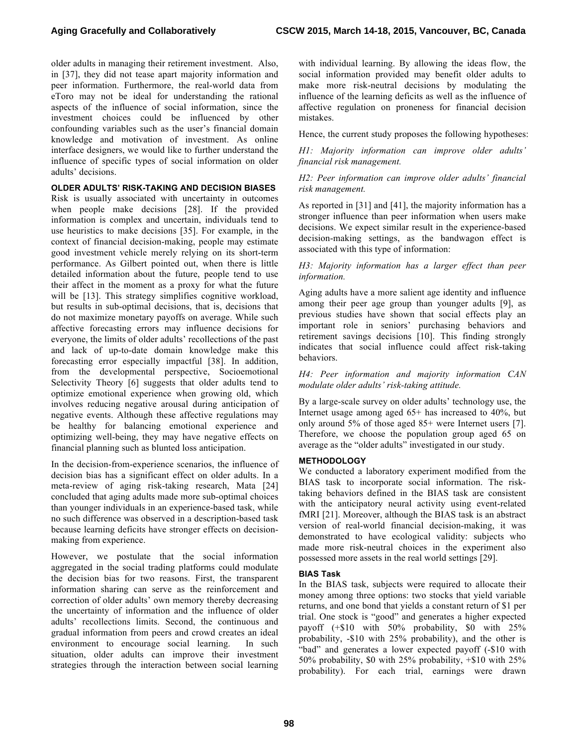older adults in managing their retirement investment. Also, in [37], they did not tease apart majority information and peer information. Furthermore, the real-world data from eToro may not be ideal for understanding the rational aspects of the influence of social information, since the investment choices could be influenced by other confounding variables such as the user's financial domain knowledge and motivation of investment. As online interface designers, we would like to further understand the influence of specific types of social information on older adults' decisions.

## **OLDER ADULTS' RISK-TAKING AND DECISION BIASES**

Risk is usually associated with uncertainty in outcomes when people make decisions [28]. If the provided information is complex and uncertain, individuals tend to use heuristics to make decisions [35]. For example, in the context of financial decision-making, people may estimate good investment vehicle merely relying on its short-term performance. As Gilbert pointed out, when there is little detailed information about the future, people tend to use their affect in the moment as a proxy for what the future will be [13]. This strategy simplifies cognitive workload, but results in sub-optimal decisions, that is, decisions that do not maximize monetary payoffs on average. While such affective forecasting errors may influence decisions for everyone, the limits of older adults' recollections of the past and lack of up-to-date domain knowledge make this forecasting error especially impactful [38]. In addition, from the developmental perspective, Socioemotional Selectivity Theory [6] suggests that older adults tend to optimize emotional experience when growing old, which involves reducing negative arousal during anticipation of negative events. Although these affective regulations may be healthy for balancing emotional experience and optimizing well-being, they may have negative effects on financial planning such as blunted loss anticipation.

In the decision-from-experience scenarios, the influence of decision bias has a significant effect on older adults. In a meta-review of aging risk-taking research, Mata [24] concluded that aging adults made more sub-optimal choices than younger individuals in an experience-based task, while no such difference was observed in a description-based task because learning deficits have stronger effects on decisionmaking from experience.

However, we postulate that the social information aggregated in the social trading platforms could modulate the decision bias for two reasons. First, the transparent information sharing can serve as the reinforcement and correction of older adults' own memory thereby decreasing the uncertainty of information and the influence of older adults' recollections limits. Second, the continuous and gradual information from peers and crowd creates an ideal environment to encourage social learning. In such situation, older adults can improve their investment strategies through the interaction between social learning

with individual learning. By allowing the ideas flow, the social information provided may benefit older adults to make more risk-neutral decisions by modulating the influence of the learning deficits as well as the influence of affective regulation on proneness for financial decision mistakes.

Hence, the current study proposes the following hypotheses:

*H1: Majority information can improve older adults' financial risk management.*

## *H2: Peer information can improve older adults' financial risk management.*

As reported in [31] and [41], the majority information has a stronger influence than peer information when users make decisions. We expect similar result in the experience-based decision-making settings, as the bandwagon effect is associated with this type of information:

## *H3: Majority information has a larger effect than peer information.*

Aging adults have a more salient age identity and influence among their peer age group than younger adults [9], as previous studies have shown that social effects play an important role in seniors' purchasing behaviors and retirement savings decisions [10]. This finding strongly indicates that social influence could affect risk-taking behaviors.

*H4: Peer information and majority information CAN modulate older adults' risk-taking attitude.*

By a large-scale survey on older adults' technology use, the Internet usage among aged 65+ has increased to 40%, but only around 5% of those aged 85+ were Internet users [7]. Therefore, we choose the population group aged 65 on average as the "older adults" investigated in our study.

## **METHODOLOGY**

We conducted a laboratory experiment modified from the BIAS task to incorporate social information. The risktaking behaviors defined in the BIAS task are consistent with the anticipatory neural activity using event-related fMRI [21]. Moreover, although the BIAS task is an abstract version of real-world financial decision-making, it was demonstrated to have ecological validity: subjects who made more risk-neutral choices in the experiment also possessed more assets in the real world settings [29].

## **BIAS Task**

In the BIAS task, subjects were required to allocate their money among three options: two stocks that yield variable returns, and one bond that yields a constant return of \$1 per trial. One stock is "good" and generates a higher expected payoff (+\$10 with 50% probability, \$0 with 25% probability, -\$10 with 25% probability), and the other is "bad" and generates a lower expected payoff (-\$10 with 50% probability, \$0 with 25% probability, +\$10 with 25% probability). For each trial, earnings were drawn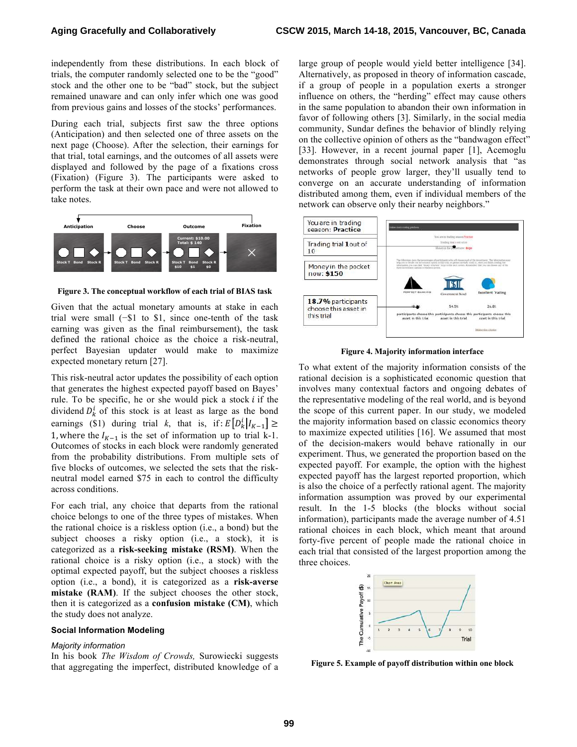independently from these distributions. In each block of trials, the computer randomly selected one to be the "good" stock and the other one to be "bad" stock, but the subject remained unaware and can only infer which one was good from previous gains and losses of the stocks' performances.

During each trial, subjects first saw the three options (Anticipation) and then selected one of three assets on the next page (Choose). After the selection, their earnings for that trial, total earnings, and the outcomes of all assets were displayed and followed by the page of a fixations cross (Fixation) (Figure 3). The participants were asked to perform the task at their own pace and were not allowed to take notes.



**Figure 3. The conceptual workflow of each trial of BIAS task** 

Given that the actual monetary amounts at stake in each trial were small (−\$1 to \$1, since one-tenth of the task earning was given as the final reimbursement), the task defined the rational choice as the choice a risk-neutral, perfect Bayesian updater would make to maximize expected monetary return [27].

This risk-neutral actor updates the possibility of each option that generates the highest expected payoff based on Bayes' rule. To be specific, he or she would pick a stock  $i$  if the dividend  $D_k^i$  of this stock is at least as large as the bond earnings (\$1) during trial *k*, that is, if:  $E[D_k^i|I_{K-1}] \ge$ 1, where the  $I_{K-1}$  is the set of information up to trial k-1. Outcomes of stocks in each block were randomly generated from the probability distributions. From multiple sets of five blocks of outcomes, we selected the sets that the riskneutral model earned \$75 in each to control the difficulty across conditions.

For each trial, any choice that departs from the rational choice belongs to one of the three types of mistakes. When the rational choice is a riskless option (i.e., a bond) but the subject chooses a risky option (i.e., a stock), it is categorized as a **risk-seeking mistake (RSM)**. When the rational choice is a risky option (i.e., a stock) with the optimal expected payoff, but the subject chooses a riskless option (i.e., a bond), it is categorized as a **risk-averse mistake (RAM)**. If the subject chooses the other stock, then it is categorized as a **confusion mistake (CM)**, which the study does not analyze.

## **Social Information Modeling**

#### *Majority information*

In his book *The Wisdom of Crowds,* Surowiecki suggests that aggregating the imperfect, distributed knowledge of a

large group of people would yield better intelligence [34]. Alternatively, as proposed in theory of information cascade, if a group of people in a population exerts a stronger influence on others, the "herding" effect may cause others in the same population to abandon their own information in favor of following others [3]. Similarly, in the social media community, Sundar defines the behavior of blindly relying on the collective opinion of others as the "bandwagon effect" [33]. However, in a recent journal paper [1], Acemoglu demonstrates through social network analysis that "as networks of people grow larger, they'll usually tend to converge on an accurate understanding of information distributed among them, even if individual members of the network can observe only their nearby neighbors."



**Figure 4. Majority information interface**

To what extent of the majority information consists of the rational decision is a sophisticated economic question that involves many contextual factors and ongoing debates of the representative modeling of the real world, and is beyond the scope of this current paper. In our study, we modeled the majority information based on classic economics theory to maximize expected utilities [16]. We assumed that most of the decision-makers would behave rationally in our experiment. Thus, we generated the proportion based on the expected payoff. For example, the option with the highest expected payoff has the largest reported proportion, which is also the choice of a perfectly rational agent. The majority information assumption was proved by our experimental result. In the 1-5 blocks (the blocks without social information), participants made the average number of 4.51 rational choices in each block, which meant that around forty-five percent of people made the rational choice in each trial that consisted of the largest proportion among the three choices.



**Figure 5. Example of payoff distribution within one block**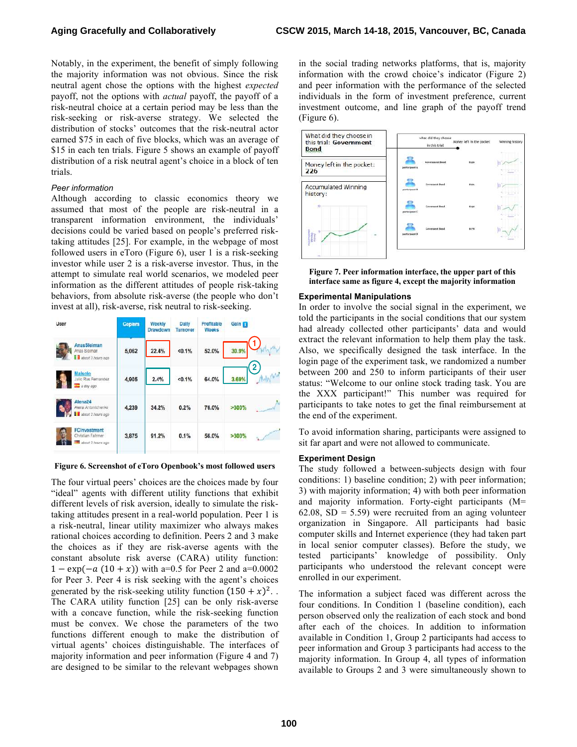Notably, in the experiment, the benefit of simply following the majority information was not obvious. Since the risk neutral agent chose the options with the highest *expected* payoff, not the options with *actual* payoff, the payoff of a risk-neutral choice at a certain period may be less than the risk-seeking or risk-averse strategy. We selected the distribution of stocks' outcomes that the risk-neutral actor earned \$75 in each of five blocks, which was an average of \$15 in each ten trials. Figure 5 shows an example of payoff distribution of a risk neutral agent's choice in a block of ten trials.

#### *Peer information*

Although according to classic economics theory we assumed that most of the people are risk-neutral in a transparent information environment, the individuals' decisions could be varied based on people's preferred risktaking attitudes [25]. For example, in the webpage of most followed users in eToro (Figure 6), user 1 is a risk-seeking investor while user 2 is a risk-averse investor. Thus, in the attempt to simulate real world scenarios, we modeled peer information as the different attitudes of people risk-taking behaviors, from absolute risk-averse (the people who don't invest at all), risk-averse, risk neutral to risk-seeking.



**Figure 6. Screenshot of eToro Openbook's most followed users**

The four virtual peers' choices are the choices made by four "ideal" agents with different utility functions that exhibit different levels of risk aversion, ideally to simulate the risktaking attitudes present in a real-world population. Peer 1 is a risk-neutral, linear utility maximizer who always makes rational choices according to definition. Peers 2 and 3 make the choices as if they are risk-averse agents with the constant absolute risk averse (CARA) utility function:  $1 - \exp(-a(10 + x))$  with a=0.5 for Peer 2 and a=0.0002 for Peer 3. Peer 4 is risk seeking with the agent's choices generated by the risk-seeking utility function  $(150 + x)^2$ . The CARA utility function [25] can be only risk-averse with a concave function, while the risk-seeking function must be convex. We chose the parameters of the two functions different enough to make the distribution of virtual agents' choices distinguishable. The interfaces of majority information and peer information (Figure 4 and 7) are designed to be similar to the relevant webpages shown

in the social trading networks platforms, that is, majority information with the crowd choice's indicator (Figure 2) and peer information with the performance of the selected individuals in the form of investment preference, current investment outcome, and line graph of the payoff trend (Figure 6).





#### **Experimental Manipulations**

In order to involve the social signal in the experiment, we told the participants in the social conditions that our system had already collected other participants' data and would extract the relevant information to help them play the task. Also, we specifically designed the task interface. In the login page of the experiment task, we randomized a number between 200 and 250 to inform participants of their user status: "Welcome to our online stock trading task. You are the XXX participant!" This number was required for participants to take notes to get the final reimbursement at the end of the experiment.

To avoid information sharing, participants were assigned to sit far apart and were not allowed to communicate.

## **Experiment Design**

The study followed a between-subjects design with four conditions: 1) baseline condition; 2) with peer information; 3) with majority information; 4) with both peer information and majority information. Forty-eight participants (M= 62.08,  $SD = 5.59$ ) were recruited from an aging volunteer organization in Singapore. All participants had basic computer skills and Internet experience (they had taken part in local senior computer classes). Before the study, we tested participants' knowledge of possibility. Only participants who understood the relevant concept were enrolled in our experiment.

The information a subject faced was different across the four conditions. In Condition 1 (baseline condition), each person observed only the realization of each stock and bond after each of the choices. In addition to information available in Condition 1, Group 2 participants had access to peer information and Group 3 participants had access to the majority information. In Group 4, all types of information available to Groups 2 and 3 were simultaneously shown to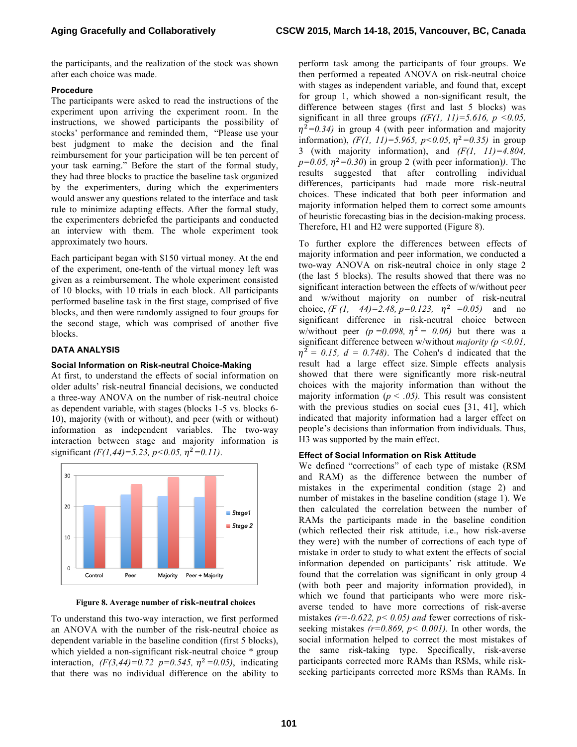the participants, and the realization of the stock was shown after each choice was made.

## **Procedure**

The participants were asked to read the instructions of the experiment upon arriving the experiment room. In the instructions, we showed participants the possibility of stocks' performance and reminded them, "Please use your best judgment to make the decision and the final reimbursement for your participation will be ten percent of your task earning." Before the start of the formal study, they had three blocks to practice the baseline task organized by the experimenters, during which the experimenters would answer any questions related to the interface and task rule to minimize adapting effects. After the formal study, the experimenters debriefed the participants and conducted an interview with them. The whole experiment took approximately two hours.

Each participant began with \$150 virtual money. At the end of the experiment, one-tenth of the virtual money left was given as a reimbursement. The whole experiment consisted of 10 blocks, with 10 trials in each block. All participants performed baseline task in the first stage, comprised of five blocks, and then were randomly assigned to four groups for the second stage, which was comprised of another five blocks.

## **DATA ANALYSIS**

## **Social Information on Risk-neutral Choice-Making**

At first, to understand the effects of social information on older adults' risk-neutral financial decisions, we conducted a three-way ANOVA on the number of risk-neutral choice as dependent variable, with stages (blocks 1-5 vs. blocks 6- 10), majority (with or without), and peer (with or without) information as independent variables. The two-way interaction between stage and majority information is significant *(F(1,44)=5.23, p<0.05, p*<sup>2</sup>=0.11).



**Figure 8. Average number of risk-neutral choices** 

To understand this two-way interaction, we first performed an ANOVA with the number of the risk-neutral choice as dependent variable in the baseline condition (first 5 blocks), which yielded a non-significant risk-neutral choice \* group interaction,  $(F(3, 44)=0.72 \text{ } p=0.545, \eta^2=0.05)$ , indicating that there was no individual difference on the ability to

perform task among the participants of four groups. We then performed a repeated ANOVA on risk-neutral choice with stages as independent variable, and found that, except for group 1, which showed a non-significant result, the difference between stages (first and last 5 blocks) was significant in all three groups  $(F(1, 11)=5.616, p \le 0.05,$  $\eta^2 = 0.34$ ) in group 4 (with peer information and majority information),  $(F(1, 11)=5.965, p<0.05, \eta^2=0.35)$  in group 3 (with majority information), and *(F(1, 11)=4.804,*   $p=0.05$ ,  $p^2=0.30$  in group 2 (with peer information)). The results suggested that after controlling individual differences, participants had made more risk-neutral choices. These indicated that both peer information and majority information helped them to correct some amounts of heuristic forecasting bias in the decision-making process. Therefore, H1 and H2 were supported (Figure 8).

To further explore the differences between effects of majority information and peer information, we conducted a two-way ANOVA on risk-neutral choice in only stage 2 (the last 5 blocks). The results showed that there was no significant interaction between the effects of w/without peer and w/without majority on number of risk-neutral choice,  $(F (1, 44)=2.48, p=0.123, \eta^2 =0.05)$  and no significant difference in risk-neutral choice between w/without peer  $(p=0.098, \eta^2 = 0.06)$  but there was a significant difference between w/without *majority (p <0.01,*   $\eta^2 = 0.15$ ,  $d = 0.748$ ). The Cohen's d indicated that the result had a large effect size. Simple effects analysis showed that there were significantly more risk-neutral choices with the majority information than without the majority information ( $p < .05$ ). This result was consistent with the previous studies on social cues [31, 41], which indicated that majority information had a larger effect on people's decisions than information from individuals. Thus, H3 was supported by the main effect.

## **Effect of Social Information on Risk Attitude**

We defined "corrections" of each type of mistake (RSM and RAM) as the difference between the number of mistakes in the experimental condition (stage 2) and number of mistakes in the baseline condition (stage 1). We then calculated the correlation between the number of RAMs the participants made in the baseline condition (which reflected their risk attitude, i.e., how risk-averse they were) with the number of corrections of each type of mistake in order to study to what extent the effects of social information depended on participants' risk attitude. We found that the correlation was significant in only group 4 (with both peer and majority information provided), in which we found that participants who were more riskaverse tended to have more corrections of risk-averse mistakes *(r=-0.622, p< 0.05) and* fewer corrections of riskseeking mistakes *(r=0.869, p< 0.001).* In other words, the social information helped to correct the most mistakes of the same risk-taking type. Specifically, risk-averse participants corrected more RAMs than RSMs, while riskseeking participants corrected more RSMs than RAMs. In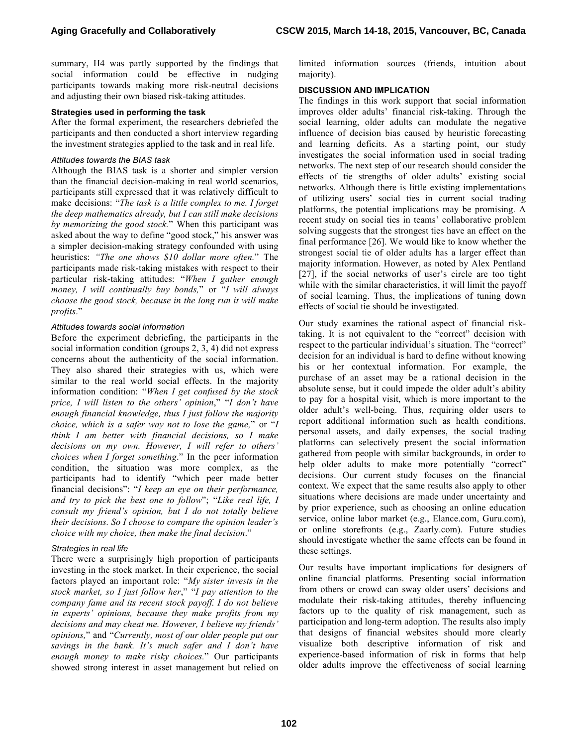summary, H4 was partly supported by the findings that social information could be effective in nudging participants towards making more risk-neutral decisions and adjusting their own biased risk-taking attitudes.

## **Strategies used in performing the task**

After the formal experiment, the researchers debriefed the participants and then conducted a short interview regarding the investment strategies applied to the task and in real life.

## *Attitudes towards the BIAS task*

Although the BIAS task is a shorter and simpler version than the financial decision-making in real world scenarios, participants still expressed that it was relatively difficult to make decisions: "*The task is a little complex to me. I forget the deep mathematics already, but I can still make decisions by memorizing the good stock.*" When this participant was asked about the way to define "good stock," his answer was a simpler decision-making strategy confounded with using heuristics: *"The one shows \$10 dollar more often.*" The participants made risk-taking mistakes with respect to their particular risk-taking attitudes: "*When I gather enough money, I will continually buy bonds,*" or "*I will always choose the good stock, because in the long run it will make profits*."

## *Attitudes towards social information*

Before the experiment debriefing, the participants in the social information condition (groups 2, 3, 4) did not express concerns about the authenticity of the social information. They also shared their strategies with us, which were similar to the real world social effects. In the majority information condition: "*When I get confused by the stock price, I will listen to the others' opinion*," "*I don't have enough financial knowledge, thus I just follow the majority choice, which is a safer way not to lose the game,*" or "*I think I am better with financial decisions, so I make decisions on my own. However, I will refer to others' choices when I forget something*." In the peer information condition, the situation was more complex, as the participants had to identify "which peer made better financial decisions": "*I keep an eye on their performance, and try to pick the best one to follow*"; "*Like real life, I consult my friend's opinion, but I do not totally believe their decisions. So I choose to compare the opinion leader's choice with my choice, then make the final decision*."

## *Strategies in real life*

There were a surprisingly high proportion of participants investing in the stock market. In their experience, the social factors played an important role: "*My sister invests in the stock market, so I just follow her*," "*I pay attention to the company fame and its recent stock payoff. I do not believe in experts' opinions, because they make profits from my decisions and may cheat me. However, I believe my friends' opinions,*" and "*Currently, most of our older people put our savings in the bank. It's much safer and I don't have enough money to make risky choices.*" Our participants showed strong interest in asset management but relied on

limited information sources (friends, intuition about majority).

## **DISCUSSION AND IMPLICATION**

The findings in this work support that social information improves older adults' financial risk-taking. Through the social learning, older adults can modulate the negative influence of decision bias caused by heuristic forecasting and learning deficits. As a starting point, our study investigates the social information used in social trading networks. The next step of our research should consider the effects of tie strengths of older adults' existing social networks. Although there is little existing implementations of utilizing users' social ties in current social trading platforms, the potential implications may be promising. A recent study on social ties in teams' collaborative problem solving suggests that the strongest ties have an effect on the final performance [26]. We would like to know whether the strongest social tie of older adults has a larger effect than majority information. However, as noted by Alex Pentland [27], if the social networks of user's circle are too tight while with the similar characteristics, it will limit the payoff of social learning. Thus, the implications of tuning down effects of social tie should be investigated.

Our study examines the rational aspect of financial risktaking. It is not equivalent to the "correct" decision with respect to the particular individual's situation. The "correct" decision for an individual is hard to define without knowing his or her contextual information. For example, the purchase of an asset may be a rational decision in the absolute sense, but it could impede the older adult's ability to pay for a hospital visit, which is more important to the older adult's well-being. Thus, requiring older users to report additional information such as health conditions, personal assets, and daily expenses, the social trading platforms can selectively present the social information gathered from people with similar backgrounds, in order to help older adults to make more potentially "correct" decisions. Our current study focuses on the financial context. We expect that the same results also apply to other situations where decisions are made under uncertainty and by prior experience, such as choosing an online education service, online labor market (e.g., Elance.com, Guru.com), or online storefronts (e.g., Zaarly.com). Future studies should investigate whether the same effects can be found in these settings.

Our results have important implications for designers of online financial platforms. Presenting social information from others or crowd can sway older users' decisions and modulate their risk-taking attitudes, thereby influencing factors up to the quality of risk management, such as participation and long-term adoption. The results also imply that designs of financial websites should more clearly visualize both descriptive information of risk and experience-based information of risk in forms that help older adults improve the effectiveness of social learning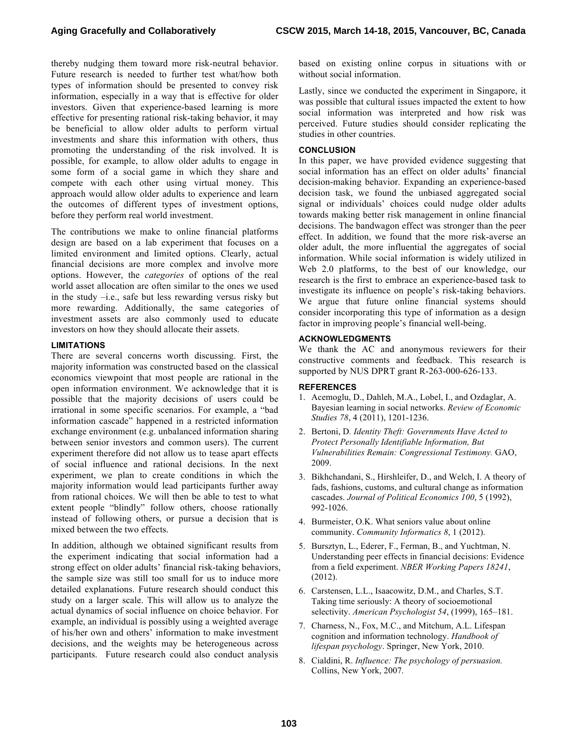thereby nudging them toward more risk-neutral behavior. Future research is needed to further test what/how both types of information should be presented to convey risk information, especially in a way that is effective for older investors. Given that experience-based learning is more effective for presenting rational risk-taking behavior, it may be beneficial to allow older adults to perform virtual investments and share this information with others, thus promoting the understanding of the risk involved. It is possible, for example, to allow older adults to engage in some form of a social game in which they share and compete with each other using virtual money. This approach would allow older adults to experience and learn the outcomes of different types of investment options, before they perform real world investment.

The contributions we make to online financial platforms design are based on a lab experiment that focuses on a limited environment and limited options. Clearly, actual financial decisions are more complex and involve more options. However, the *categories* of options of the real world asset allocation are often similar to the ones we used in the study –i.e., safe but less rewarding versus risky but more rewarding. Additionally, the same categories of investment assets are also commonly used to educate investors on how they should allocate their assets.

#### **LIMITATIONS**

There are several concerns worth discussing. First, the majority information was constructed based on the classical economics viewpoint that most people are rational in the open information environment. We acknowledge that it is possible that the majority decisions of users could be irrational in some specific scenarios. For example, a "bad information cascade" happened in a restricted information exchange environment (e.g. unbalanced information sharing between senior investors and common users). The current experiment therefore did not allow us to tease apart effects of social influence and rational decisions. In the next experiment, we plan to create conditions in which the majority information would lead participants further away from rational choices. We will then be able to test to what extent people "blindly" follow others, choose rationally instead of following others, or pursue a decision that is mixed between the two effects.

In addition, although we obtained significant results from the experiment indicating that social information had a strong effect on older adults' financial risk-taking behaviors, the sample size was still too small for us to induce more detailed explanations. Future research should conduct this study on a larger scale. This will allow us to analyze the actual dynamics of social influence on choice behavior. For example, an individual is possibly using a weighted average of his/her own and others' information to make investment decisions, and the weights may be heterogeneous across participants. Future research could also conduct analysis

based on existing online corpus in situations with or without social information.

Lastly, since we conducted the experiment in Singapore, it was possible that cultural issues impacted the extent to how social information was interpreted and how risk was perceived. Future studies should consider replicating the studies in other countries.

## **CONCLUSION**

In this paper, we have provided evidence suggesting that social information has an effect on older adults' financial decision-making behavior. Expanding an experience-based decision task, we found the unbiased aggregated social signal or individuals' choices could nudge older adults towards making better risk management in online financial decisions. The bandwagon effect was stronger than the peer effect. In addition, we found that the more risk-averse an older adult, the more influential the aggregates of social information. While social information is widely utilized in Web 2.0 platforms, to the best of our knowledge, our research is the first to embrace an experience-based task to investigate its influence on people's risk-taking behaviors. We argue that future online financial systems should consider incorporating this type of information as a design factor in improving people's financial well-being.

#### **ACKNOWLEDGMENTS**

We thank the AC and anonymous reviewers for their constructive comments and feedback. This research is supported by NUS DPRT grant R-263-000-626-133.

#### **REFERENCES**

- 1. Acemoglu, D., Dahleh, M.A., Lobel, I., and Ozdaglar, A. Bayesian learning in social networks. *Review of Economic Studies 78*, 4 (2011), 1201-1236.
- 2. Bertoni, D*. Identity Theft: Governments Have Acted to Protect Personally Identifiable Information, But Vulnerabilities Remain: Congressional Testimony.* GAO, 2009.
- 3. Bikhchandani, S., Hirshleifer, D., and Welch, I. A theory of fads, fashions, customs, and cultural change as information cascades. *Journal of Political Economics 100*, 5 (1992), 992-1026.
- 4. Burmeister, O.K. What seniors value about online community. *Community Informatics 8*, 1 (2012).
- 5. Bursztyn, L., Ederer, F., Ferman, B., and Yuchtman, N. Understanding peer effects in financial decisions: Evidence from a field experiment. *NBER Working Papers 18241*, (2012).
- 6. Carstensen, L.L., Isaacowitz, D.M., and Charles, S.T. Taking time seriously: A theory of socioemotional selectivity. *American Psychologist 54*, (1999), 165–181.
- 7. Charness, N., Fox, M.C., and Mitchum, A.L. Lifespan cognition and information technology. *Handbook of lifespan psychology*. Springer, New York, 2010.
- 8. Cialdini, R. *Influence: The psychology of persuasion.* Collins, New York, 2007.